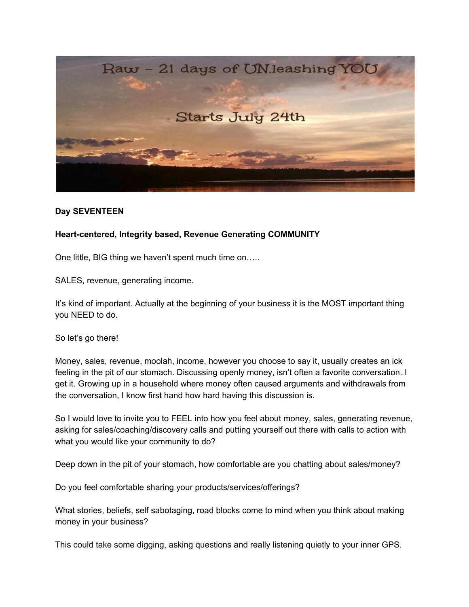

## **Day SEVENTEEN**

## **Heart-centered, Integrity based, Revenue Generating COMMUNITY**

One little, BIG thing we haven't spent much time on…..

SALES, revenue, generating income.

It's kind of important. Actually at the beginning of your business it is the MOST important thing you NEED to do.

So let's go there!

Money, sales, revenue, moolah, income, however you choose to say it, usually creates an ick feeling in the pit of our stomach. Discussing openly money, isn't often a favorite conversation. I get it. Growing up in a household where money often caused arguments and withdrawals from the conversation, I know first hand how hard having this discussion is.

So I would love to invite you to FEEL into how you feel about money, sales, generating revenue, asking for sales/coaching/discovery calls and putting yourself out there with calls to action with what you would like your community to do?

Deep down in the pit of your stomach, how comfortable are you chatting about sales/money?

Do you feel comfortable sharing your products/services/offerings?

What stories, beliefs, self sabotaging, road blocks come to mind when you think about making money in your business?

This could take some digging, asking questions and really listening quietly to your inner GPS.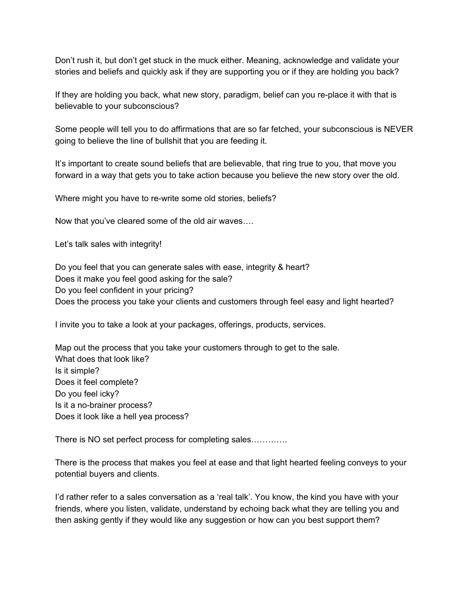Don't rush it, but don't get stuck in the muck either. Meaning, acknowledge and validate your stories and beliefs and quickly ask if they are supporting you or if they are holding you back?

If they are holding you back, what new story, paradigm, belief can you re-place it with that is believable to your subconscious?

Some people will tell you to do affirmations that are so far fetched, your subconscious is NEVER going to believe the line of bullshit that you are feeding it.

It's important to create sound beliefs that are believable, that ring true to you, that move you forward in a way that gets you to take action because you believe the new story over the old.

Where might you have to re-write some old stories, beliefs?

Now that you've cleared some of the old air waves….

Let's talk sales with integrity!

Do you feel that you can generate sales with ease, integrity & heart? Does it make you feel good asking for the sale? Do you feel confident in your pricing? Does the process you take your clients and customers through feel easy and light hearted?

I invite you to take a look at your packages, offerings, products, services.

Map out the process that you take your customers through to get to the sale. What does that look like? Is it simple? Does it feel complete? Do you feel icky? Is it a no-brainer process? Does it look like a hell yea process?

There is NO set perfect process for completing sales………….

There is the process that makes you feel at ease and that light hearted feeling conveys to your potential buyers and clients.

I'd rather refer to a sales conversation as a 'real talk'. You know, the kind you have with your friends, where you listen, validate, understand by echoing back what they are telling you and then asking gently if they would like any suggestion or how can you best support them?